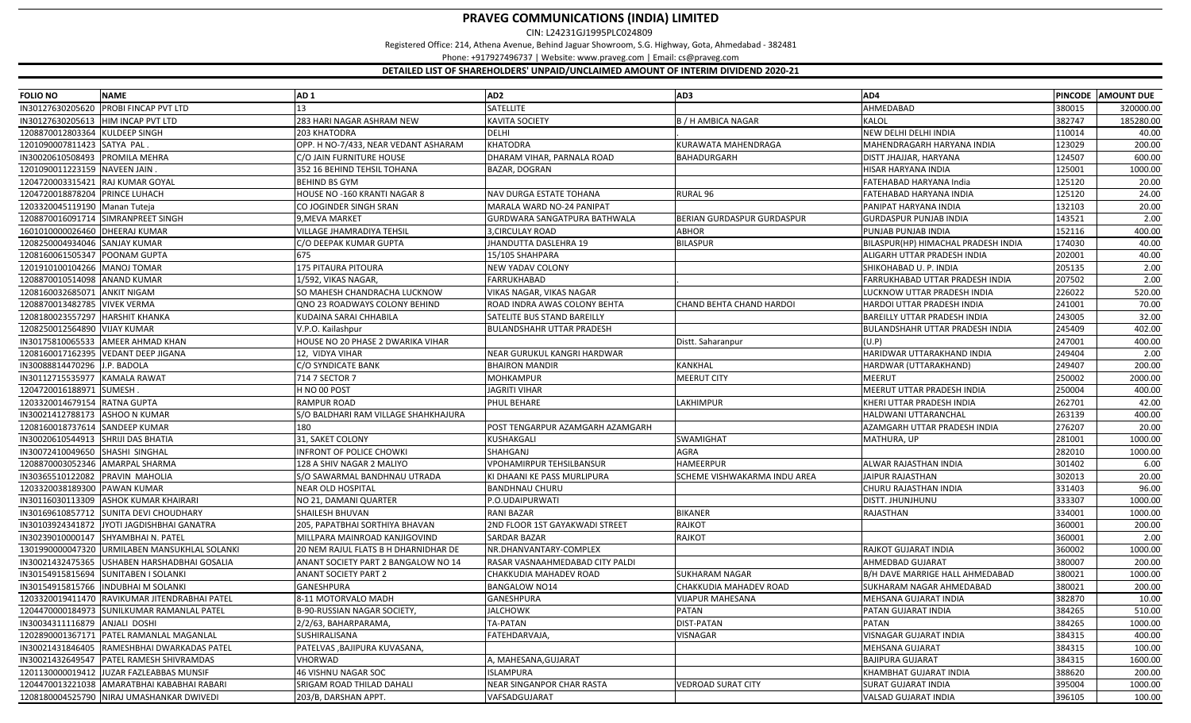CIN: L24231GJ1995PLC024809

Registered Office: 214, Athena Avenue, Behind Jaguar Showroom, S.G. Highway, Gota, Ahmedabad ‐ 382481

Phone: +917927496737 | Website: www.praveg.com | Email: cs@praveg.com

| <b>FOLIO NO</b>                 | <b>NAME</b>                                   | AD <sub>1</sub>                      | AD <sub>2</sub>                    | AD <sub>3</sub>                 | AD4                                 |        | PINCODE AMOUNT DUE |
|---------------------------------|-----------------------------------------------|--------------------------------------|------------------------------------|---------------------------------|-------------------------------------|--------|--------------------|
| IN30127630205620                | <b>PROBI FINCAP PVT LTD</b>                   | 13                                   | <b>SATELLITE</b>                   |                                 | AHMEDABAD                           | 380015 | 320000.00          |
| IN30127630205613                | HIM INCAP PVT LTD                             | 283 HARI NAGAR ASHRAM NEW            | <b>KAVITA SOCIETY</b>              | <b>B / H AMBICA NAGAR</b>       | KALOL                               | 382747 | 185280.00          |
| 1208870012803364 KULDEEP SINGH  |                                               | 203 KHATODRA                         | <b>DELHI</b>                       |                                 | NEW DELHI DELHI INDIA               | 110014 | 40.00              |
| 1201090007811423 SATYA PAL      |                                               | OPP. H NO-7/433, NEAR VEDANT ASHARAM | <b>KHATODRA</b>                    | KURAWATA MAHENDRAGA             | MAHENDRAGARH HARYANA INDIA          | 123029 | 200.00             |
| IN30020610508493                | PROMILA MEHRA                                 | C/O JAIN FURNITURE HOUSE             | DHARAM VIHAR, PARNALA ROAD         | BAHADURGARH                     | DISTT JHAJJAR, HARYANA              | 124507 | 600.00             |
| 1201090011223159 NAVEEN JAIN    |                                               | 352 16 BEHIND TEHSIL TOHANA          | <b>BAZAR, DOGRAN</b>               |                                 | HISAR HARYANA INDIA                 | 125001 | 1000.00            |
| 1204720003315421                | <b>RAJ KUMAR GOYAL</b>                        | <b>BEHIND BS GYM</b>                 |                                    |                                 | FATEHABAD HARYANA India             | 125120 | 20.00              |
| 1204720018878204 PRINCE LUHACH  |                                               | <b>HOUSE NO -160 KRANTI NAGAR 8</b>  | <b>NAV DURGA ESTATE TOHANA</b>     | RURAL 96                        | FATEHABAD HARYANA INDIA             | 125120 | 24.00              |
| 1203320045119190 Manan Tuteja   |                                               | CO JOGINDER SINGH SRAN               | MARALA WARD NO-24 PANIPAT          |                                 | PANIPAT HARYANA INDIA               | 132103 | 20.00              |
|                                 | 1208870016091714 SIMRANPREET SINGH            | 9, MEVA MARKET                       | GURDWARA SANGATPURA BATHWALA       | BERIAN GURDASPUR GURDASPUR      | <b>GURDASPUR PUNJAB INDIA</b>       | 143521 | 2.00               |
| 1601010000026460 DHEERAJ KUMAR  |                                               | VILLAGE JHAMRADIYA TEHSIL            | 3, CIRCULAY ROAD                   | ABHOR                           | PUNJAB PUNJAB INDIA                 | 152116 | 400.00             |
| 1208250004934046 SANJAY KUMAR   |                                               | C/O DEEPAK KUMAR GUPTA               | JHANDUTTA DASLEHRA 19              | <b>BILASPUR</b>                 | BILASPUR(HP) HIMACHAL PRADESH INDIA | 174030 | 40.00              |
| 1208160061505347 POONAM GUPTA   |                                               | 675                                  | 15/105 SHAHPARA                    |                                 | ALIGARH UTTAR PRADESH INDIA         | 202001 | 40.00              |
| 1201910100104266 MANOJ TOMAR    |                                               | 175 PITAURA PITOURA                  | <b>NEW YADAV COLONY</b>            |                                 | SHIKOHABAD U. P. INDIA              | 205135 | 2.00               |
| 1208870010514098 ANAND KUMAR    |                                               | 1/592. VIKAS NAGAR                   | <b>FARRUKHABAD</b>                 |                                 | FARRUKHABAD UTTAR PRADESH INDIA     | 207502 | 2.00               |
| 1208160032685071                | <b>ANKIT NIGAM</b>                            | SO MAHESH CHANDRACHA LUCKNOW         | VIKAS NAGAR, VIKAS NAGAR           |                                 | LUCKNOW UTTAR PRADESH INDIA         | 226022 | 520.00             |
| 1208870013482785 VIVEK VERMA    |                                               | QNO 23 ROADWAYS COLONY BEHIND        | ROAD INDRA AWAS COLONY BEHTA       | <b>CHAND BEHTA CHAND HARDOI</b> | HARDOI UTTAR PRADESH INDIA          | 241001 | 70.00              |
| 1208180023557297 HARSHIT KHANKA |                                               | KUDAINA SARAI CHHABILA               | <b>SATELITE BUS STAND BAREILLY</b> |                                 | <b>BAREILLY UTTAR PRADESH INDIA</b> | 243005 | 32.00              |
| 1208250012564890 VIJAY KUMAR    |                                               | V.P.O. Kailashpur                    | <b>BULANDSHAHR UTTAR PRADESH</b>   |                                 | BULANDSHAHR UTTAR PRADESH INDIA     | 245409 | 402.00             |
| IN30175810065533                | <b>AMEER AHMAD KHAN</b>                       | HOUSE NO 20 PHASE 2 DWARIKA VIHAR    |                                    | Distt. Saharanpur               | (U.P)                               | 247001 | 400.00             |
|                                 | 1208160017162395 VEDANT DEEP JIGANA           | 12, VIDYA VIHAR                      | NEAR GURUKUL KANGRI HARDWAR        |                                 | HARIDWAR UTTARAKHAND INDIA          | 249404 | 2.00               |
| IN30088814470296 J.P. BADOLA    |                                               | C/O SYNDICATE BANK                   | <b>BHAIRON MANDIR</b>              | KANKHAL                         | HARDWAR (UTTARAKHAND)               | 249407 | 200.00             |
| IN30112715535977                | <b>KAMALA RAWAT</b>                           | 714 7 SECTOR 7                       | <b>MOHKAMPUR</b>                   | <b>MEERUT CITY</b>              | <b>MEERUT</b>                       | 250002 | 2000.00            |
| 1204720016188971                | SUMESH.                                       | H NO 00 POST                         | <b>JAGRITI VIHAR</b>               |                                 | MEERUT UTTAR PRADESH INDIA          | 250004 | 400.00             |
| 1203320014679154 RATNA GUPTA    |                                               | RAMPUR ROAD                          | PHUL BEHARE                        | LAKHIMPUR                       | KHERI UTTAR PRADESH INDIA           | 262701 | 42.00              |
| IN30021412788173                | ASHOO N KUMAR                                 | S/O BALDHARI RAM VILLAGE SHAHKHAJURA |                                    |                                 | HALDWANI UTTARANCHAL                | 263139 | 400.00             |
| 1208160018737614 SANDEEP KUMAR  |                                               | 180                                  | POST TENGARPUR AZAMGARH AZAMGARH   |                                 | AZAMGARH UTTAR PRADESH INDIA        | 276207 | 20.00              |
| IN30020610544913                | <b>SHRIJI DAS BHATIA</b>                      | 31, SAKET COLONY                     | KUSHAKGALI                         | SWAMIGHAT                       | MATHURA, UP                         | 281001 | 1000.00            |
| IN30072410049650                | SHASHI SINGHAL                                | INFRONT OF POLICE CHOWKI             | SHAHGANJ                           | <b>AGRA</b>                     |                                     | 282010 | 1000.00            |
| 1208870003052346                | <b>AMARPAL SHARMA</b>                         | 128 A SHIV NAGAR 2 MALIYO            | <b>VPOHAMIRPUR TEHSILBANSUR</b>    | HAMEERPUR                       | ALWAR RAJASTHAN INDIA               | 301402 | 6.00               |
| IN30365510122082                | PRAVIN MAHOLIA                                | S/O SAWARMAL BANDHNAU UTRADA         | KI DHAANI KE PASS MURLIPURA        | SCHEME VISHWAKARMA INDU AREA    | <b>JAIPUR RAJASTHAN</b>             | 302013 | 20.00              |
| 1203320038189300                | <b>PAWAN KUMAR</b>                            | <b>NEAR OLD HOSPITAL</b>             | <b>BANDHNAU CHURU</b>              |                                 | CHURU RAJASTHAN INDIA               | 331403 | 96.00              |
| IN30116030113309                | <b>ASHOK KUMAR KHAIRARI</b>                   | NO 21, DAMANI QUARTER                | P.O.UDAIPURWATI                    |                                 | DISTT. JHUNJHUNU                    | 333307 | 1000.00            |
| IN30169610857712                | SUNITA DEVI CHOUDHARY                         | SHAILESH BHUVAN                      | <b>RANI BAZAR</b>                  | <b>BIKANER</b>                  | RAJASTHAN                           | 334001 | 1000.00            |
| IN30103924341872                | JYOTI JAGDISHBHAI GANATRA                     | 205, PAPATBHAI SORTHIYA BHAVAN       | 2ND FLOOR 1ST GAYAKWADI STREET     | <b>RAJKOT</b>                   |                                     | 360001 | 200.00             |
| IN30239010000147                | SHYAMBHAI N. PATEL                            | MILLPARA MAINROAD KANJIGOVIND        | <b>SARDAR BAZAR</b>                | <b>RAJKOT</b>                   |                                     | 360001 | 2.00               |
| 1301990000047320                | URMILABEN MANSUKHLAL SOLANKI                  | 20 NEM RAJUL FLATS B H DHARNIDHAR DE | NR.DHANVANTARY-COMPLEX             |                                 | RAJKOT GUJARAT INDIA                | 360002 | 1000.00            |
| IN30021432475365                | USHABEN HARSHADBHAI GOSALIA                   | ANANT SOCIETY PART 2 BANGALOW NO 14  | RASAR VASNAAHMEDABAD CITY PALDI    |                                 | AHMEDBAD GUJARAT                    | 380007 | 200.00             |
| IN30154915815694                | <b>SUNITABEN I SOLANKI</b>                    | <b>ANANT SOCIETY PART 2</b>          | CHAKKUDIA MAHADEV ROAD             | <b>SUKHARAM NAGAR</b>           | B/H DAVE MARRIGE HALL AHMEDABAD     | 380021 | 1000.00            |
| IN30154915815766                | <b>INDUBHAI M SOLANKI</b>                     | GANESHPURA                           | <b>BANGALOW NO14</b>               | CHAKKUDIA MAHADEV ROAD          | SUKHARAM NAGAR AHMEDABAD            | 380021 | 200.00             |
|                                 | 1203320019411470 RAVIKUMAR JITENDRABHAI PATEL | 8-11 MOTORVALO MADH                  | GANESHPURA                         | <b>VIJAPUR MAHESANA</b>         | MEHSANA GUJARAT INDIA               | 382870 | 10.00              |
| 1204470000184973                | <b>SUNILKUMAR RAMANLAL PATEL</b>              | <b>B-90-RUSSIAN NAGAR SOCIETY,</b>   | <b>JALCHOWK</b>                    | <b>PATAN</b>                    | PATAN GUJARAT INDIA                 | 384265 | 510.00             |
| IN30034311116879                | <b>ANJALI DOSHI</b>                           | 2/2/63, BAHARPARAMA                  | <b>TA-PATAN</b>                    | <b>DIST-PATAN</b>               | PATAN                               | 384265 | 1000.00            |
| 1202890001367171                | PATEL RAMANLAL MAGANLAL                       | SUSHIRALISANA                        | FATEHDARVAJA,                      | VISNAGAR                        | VISNAGAR GUJARAT INDIA              | 384315 | 400.00             |
| IN30021431846405                | RAMESHBHAI DWARKADAS PATEL                    | PATELVAS , BAJIPURA KUVASANA,        |                                    |                                 | MEHSANA GUJARAT                     | 384315 | 100.00             |
| IN30021432649547                | PATEL RAMESH SHIVRAMDAS                       | VHORWAD                              | A, MAHESANA, GUJARAT               |                                 | <b>BAJIPURA GUJARAT</b>             | 384315 | 1600.00            |
| 1201130000019412                | JUZAR FAZLEABBAS MUNSIF                       | 46 VISHNU NAGAR SOC                  | <b>ISLAMPURA</b>                   |                                 | KHAMBHAT GUJARAT INDIA              | 388620 | 200.00             |
| 1204470013221038                | AMARATBHAI KABABHAI RABARI                    | SRIGAM ROAD THILAD DAHALI            | NEAR SINGANPOR CHAR RASTA          | <b>VEDROAD SURAT CITY</b>       | SURAT GUJARAT INDIA                 | 395004 | 1000.00            |
|                                 | 1208180004525790 NIRAJ UMASHANKAR DWIVEDI     | 203/B, DARSHAN APPT                  | VAFSADGUJARAT                      |                                 | VALSAD GUJARAT INDIA                | 396105 | 100.00             |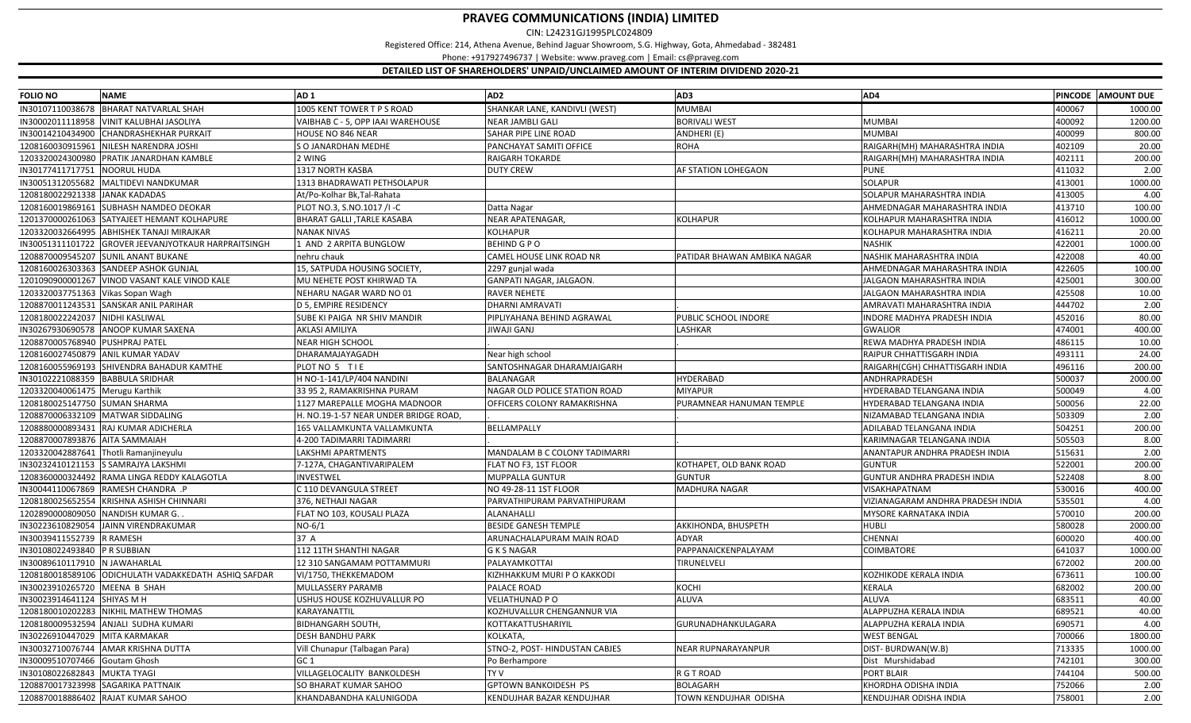CIN: L24231GJ1995PLC024809

Registered Office: 214, Athena Avenue, Behind Jaguar Showroom, S.G. Highway, Gota, Ahmedabad ‐ 382481

Phone: +917927496737 | Website: www.praveg.com | Email: cs@praveg.com

| <b>FOLIO NO</b>                 | <b>NAME</b>                                          | AD <sub>1</sub>                       | AD <sub>2</sub>                      | AD3                         | AD4                               |        | PINCODE AMOUNT DUE |
|---------------------------------|------------------------------------------------------|---------------------------------------|--------------------------------------|-----------------------------|-----------------------------------|--------|--------------------|
| IN30107110038678                | <b>BHARAT NATVARLAL SHAH</b>                         | 1005 KENT TOWER T P S ROAD            | SHANKAR LANE, KANDIVLI (WEST)        | <b>MUMBAI</b>               |                                   | 400067 | 1000.00            |
| IN30002011118958                | VINIT KALUBHAI JASOLIYA                              | VAIBHAB C - 5, OPP IAAI WAREHOUSE     | <b>NEAR JAMBLI GALI</b>              | <b>BORIVALI WEST</b>        | <b>MUMBAI</b>                     | 400092 | 1200.00            |
| IN30014210434900                | CHANDRASHEKHAR PURKAIT                               | <b>HOUSE NO 846 NEAR</b>              | SAHAR PIPE LINE ROAD                 | ANDHERI (E)                 | <b>MUMBAI</b>                     | 400099 | 800.00             |
| 1208160030915961                | NILESH NARENDRA JOSHI                                | S O JANARDHAN MEDHE                   | PANCHAYAT SAMITI OFFICE              | <b>ROHA</b>                 | RAIGARH(MH) MAHARASHTRA INDIA     | 402109 | 20.00              |
| 1203320024300980                | PRATIK JANARDHAN KAMBLE                              | 2 WING                                | <b>RAIGARH TOKARDE</b>               |                             | RAIGARH(MH) MAHARASHTRA INDIA     | 402111 | 200.00             |
| IN30177411717751                | NOORUL HUDA                                          | 1317 NORTH KASBA                      | <b>DUTY CREW</b>                     | <b>AF STATION LOHEGAON</b>  | <b>PUNE</b>                       | 411032 | 2.00               |
| IN30051312055682                | MALTIDEVI NANDKUMAR                                  | 1313 BHADRAWATI PETHSOLAPUR           |                                      |                             | <b>SOLAPUR</b>                    | 413001 | 1000.00            |
| 1208180022921338                | <b>JANAK KADADAS</b>                                 | At/Po-Kolhar Bk,Tal-Rahata            |                                      |                             | SOLAPUR MAHARASHTRA INDIA         | 413005 | 4.00               |
| 1208160019869161                | SUBHASH NAMDEO DEOKAR                                | PLOT NO.3, S.NO.1017 /I-C             | Datta Nagar                          |                             | AHMEDNAGAR MAHARASHTRA INDIA      | 413710 | 100.00             |
| 1201370000261063                | SATYAJEET HEMANT KOLHAPURE                           | BHARAT GALLI, TARLE KASABA            | <b>NEAR APATENAGAR,</b>              | <b>KOLHAPUR</b>             | KOLHAPUR MAHARASHTRA INDIA        | 416012 | 1000.00            |
| 1203320032664995                | ABHISHEK TANAJI MIRAJKAR                             | <b>NANAK NIVAS</b>                    | <b>KOLHAPUR</b>                      |                             | KOLHAPUR MAHARASHTRA INDIA        | 416211 | 20.00              |
| IN30051311101722                | GROVER JEEVANJYOTKAUR HARPRAITSINGH                  | 1 AND 2 ARPITA BUNGLOW                | <b>BEHIND GPO</b>                    |                             | <b>NASHIK</b>                     | 422001 | 1000.00            |
| 1208870009545207                | <b>SUNIL ANANT BUKANE</b>                            | nehru chauk                           | CAMEL HOUSE LINK ROAD NR             | PATIDAR BHAWAN AMBIKA NAGAR | NASHIK MAHARASHTRA INDIA          | 422008 | 40.00              |
| 1208160026303363                | SANDEEP ASHOK GUNJAL                                 | 15, SATPUDA HOUSING SOCIETY,          | 2297 gunjal wada                     |                             | AHMEDNAGAR MAHARASHTRA INDIA      | 422605 | 100.00             |
| 1201090900001267                | VINOD VASANT KALE VINOD KALE                         | MU NEHETE POST KHIRWAD TA             | GANPATI NAGAR, JALGAON.              |                             | JALGAON MAHARASHTRA INDIA         | 425001 | 300.00             |
| 1203320037751363                | Vikas Sopan Wagh                                     | NEHARU NAGAR WARD NO 01               | <b>RAVER NEHETE</b>                  |                             | JALGAON MAHARASHTRA INDIA         | 425508 | 10.00              |
| 1208870011243531                | <b>SANSKAR ANIL PARIHAR</b>                          | <b>D 5, EMPIRE RESIDENCY</b>          | <b>DHARNI AMRAVATI</b>               |                             | AMRAVATI MAHARASHTRA INDIA        | 444702 | 2.00               |
| 1208180022242037                | NIDHI KASLIWAL                                       | SUBE KI PAIGA NR SHIV MANDIR          | PIPLIYAHANA BEHIND AGRAWAL           | PUBLIC SCHOOL INDORE        | INDORE MADHYA PRADESH INDIA       | 452016 | 80.00              |
| IN30267930690578                | <b>ANOOP KUMAR SAXENA</b>                            | AKLASI AMILIYA                        | <b>JIWAJI GANJ</b>                   | LASHKAR                     | <b>GWALIOR</b>                    | 474001 | 400.00             |
| 1208870005768940 PUSHPRAJ PATEL |                                                      | NEAR HIGH SCHOOL                      |                                      |                             | REWA MADHYA PRADESH INDIA         | 486115 | 10.00              |
|                                 | 1208160027450879 ANIL KUMAR YADAV                    | DHARAMAJAYAGADH                       | Near high school                     |                             | RAIPUR CHHATTISGARH INDIA         | 493111 | 24.00              |
| 1208160055969193                | SHIVENDRA BAHADUR KAMTHE                             | PLOT NO 5 TIE                         | SANTOSHNAGAR DHARAMJAIGARH           |                             | RAIGARH(CGH) CHHATTISGARH INDIA   | 496116 | 200.00             |
| IN30102221088359                | <b>BABBULA SRIDHAR</b>                               | H NO-1-141/LP/404 NANDINI             | <b>BALANAGAR</b>                     | <b>HYDERABAD</b>            | ANDHRAPRADESH                     | 500037 | 2000.00            |
| 1203320040061475 Merugu Karthik |                                                      | 33 95 2, RAMAKRISHNA PURAM            | NAGAR OLD POLICE STATION ROAD        | <b>MIYAPUR</b>              | HYDERABAD TELANGANA INDIA         | 500049 | 4.00               |
| 1208180025147750 SUMAN SHARMA   |                                                      | 1127 MAREPALLE MOGHA MADNOOR          | OFFICERS COLONY RAMAKRISHNA          | PURAMNEAR HANUMAN TEMPLE    | HYDERABAD TELANGANA INDIA         | 500056 | 22.00              |
|                                 | 1208870006332109 MATWAR SIDDALING                    | H. NO.19-1-57 NEAR UNDER BRIDGE ROAD, |                                      |                             | NIZAMABAD TELANGANA INDIA         | 503309 | 2.00               |
| 1208880000893431                | <b>RAJ KUMAR ADICHERLA</b>                           | 165 VALLAMKUNTA VALLAMKUNTA           | BELLAMPALLY                          |                             | ADILABAD TELANGANA INDIA          | 504251 | 200.00             |
| 1208870007893876 AITA SAMMAIAH  |                                                      | 4-200 TADIMARRI TADIMARRI             |                                      |                             | KARIMNAGAR TELANGANA INDIA        | 505503 | 8.00               |
| 1203320042887641                | Thotli Ramanjineyulu                                 | LAKSHMI APARTMENTS                    | <b>MANDALAM B C COLONY TADIMARRI</b> |                             | ANANTAPUR ANDHRA PRADESH INDIA    | 515631 | 2.00               |
| IN30232410121153                | S SAMRAJYA LAKSHMI                                   | 7-127A, CHAGANTIVARIPALEM             | FLAT NO F3, 1ST FLOOR                | KOTHAPET, OLD BANK ROAD     | <b>GUNTUR</b>                     | 522001 | 200.00             |
|                                 | 1208360000324492 RAMA LINGA REDDY KALAGOTLA          | INVESTWEL                             | <b>MUPPALLA GUNTUR</b>               | <b>GUNTUR</b>               | GUNTUR ANDHRA PRADESH INDIA       | 522408 | 8.00               |
| IN30044110067869                | RAMESH CHANDRA .P                                    | C 110 DEVANGULA STREET                | NO 49-28-11 1ST FLOOR                | MADHURA NAGAR               | VISAKHAPATNAM                     | 530016 | 400.00             |
| 1208180025652554                | KRISHNA ASHISH CHINNARI                              | 376, NETHAJI NAGAR                    | PARVATHIPURAM PARVATHIPURAM          |                             | VIZIANAGARAM ANDHRA PRADESH INDIA | 535501 | 4.00               |
|                                 | 1202890000809050 NANDISH KUMAR G.                    | FLAT NO 103, KOUSALI PLAZA            | ALANAHALLI                           |                             | MYSORE KARNATAKA INDIA            | 570010 | 200.00             |
| IN30223610829054                | <b>JAINN VIRENDRAKUMAR</b>                           | $NO-6/1$                              | <b>BESIDE GANESH TEMPLE</b>          | AKKIHONDA, BHUSPETH         | <b>HUBLI</b>                      | 580028 | 2000.00            |
| IN30039411552739                | <b>R RAMESH</b>                                      | 37 A                                  | ARUNACHALAPURAM MAIN ROAD            | <b>ADYAR</b>                | <b>CHENNAI</b>                    | 600020 | 400.00             |
| IN30108022493840 P R SUBBIAN    |                                                      | 112 11TH SHANTHI NAGAR                | <b>G K S NAGAR</b>                   | PAPPANAICKENPALAYAM         | <b>COIMBATORE</b>                 | 641037 | 1000.00            |
| IN30089610117910                | N JAWAHARLAL                                         | 12 310 SANGAMAM POTTAMMURI            | PALAYAMKOTTAI                        | TIRUNELVELI                 |                                   | 672002 | 200.00             |
|                                 | 1208180018589106 ODICHULATH VADAKKEDATH ASHIQ SAFDAR | VI/1750, THEKKEMADOM                  | KIZHHAKKUM MURI P O KAKKODI          |                             | KOZHIKODE KERALA INDIA            | 673611 | 100.00             |
| IN30023910265720 MEENA B SHAH   |                                                      | MULLASSERY PARAMB                     | PALACE ROAD                          | <b>KOCHI</b>                | KERALA                            | 682002 | 200.00             |
| IN30023914641124 SHIYAS M H     |                                                      | USHUS HOUSE KOZHUVALLUR PO            | VELIATHUNAD PO                       | <b>ALUVA</b>                | ALUVA                             | 683511 | 40.00              |
|                                 | 1208180010202283 NIKHIL MATHEW THOMAS                | KARAYANATTIL                          | KOZHUVALLUR CHENGANNUR VIA           |                             | ALAPPUZHA KERALA INDIA            | 689521 | 40.00              |
| 1208180009532594                | ANJALI SUDHA KUMARI                                  | <b>BIDHANGARH SOUTH,</b>              | KOTTAKATTUSHARIYIL                   | GURUNADHANKULAGARA          | ALAPPUZHA KERALA INDIA            | 690571 | 4.00               |
| IN30226910447029                | MITA KARMAKAR                                        | DESH BANDHU PARK                      | KOLKATA,                             |                             | <b>WEST BENGAL</b>                | 700066 | 1800.00            |
| IN30032710076744                | AMAR KRISHNA DUTTA                                   | Vill Chunapur (Talbagan Para)         | STNO-2, POST- HINDUSTAN CABJES       | <b>NEAR RUPNARAYANPUR</b>   | DIST-BURDWAN(W.B)                 | 713335 | 1000.00            |
| IN30009510707466                | Goutam Ghosh                                         | GC 1                                  | Po Berhampore                        |                             | Dist Murshidabad                  | 742101 | 300.00             |
| IN30108022682843                | MUKTA TYAGI                                          | VILLAGELOCALITY BANKOLDESH            | TY V                                 | R G T ROAD                  | PORT BLAIR                        | 744104 | 500.00             |
| 1208870017323998                | SAGARIKA PATTNAIK                                    | SO BHARAT KUMAR SAHOO                 | <b>GPTOWN BANKOIDESH PS</b>          | <b>BOLAGARH</b>             | KHORDHA ODISHA INDIA              | 752066 | 2.00               |
|                                 | 1208870018886402 RAJAT KUMAR SAHOO                   | KHANDABANDHA KALUNIGODA               | KENDUJHAR BAZAR KENDUJHAR            | TOWN KENDUJHAR ODISHA       | KENDUJHAR ODISHA INDIA            | 758001 | 2.00               |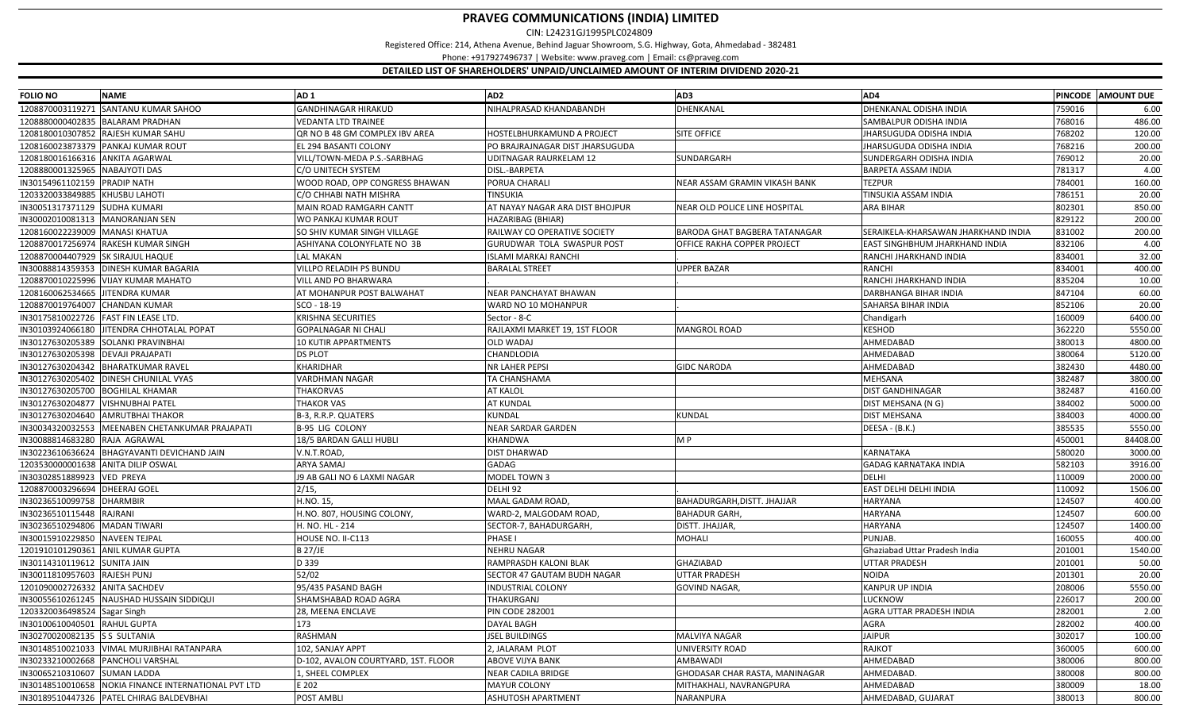CIN: L24231GJ1995PLC024809

Registered Office: 214, Athena Avenue, Behind Jaguar Showroom, S.G. Highway, Gota, Ahmedabad ‐ 382481

Phone: +917927496737 | Website: www.praveg.com | Email: cs@praveg.com

| <b>FOLIO NO</b>                 | <b>NAME</b>                              | AD <sub>1</sub>                     | AD <sub>2</sub>                 | AD3                            | AD4                                 |        | PINCODE AMOUNT DUE |
|---------------------------------|------------------------------------------|-------------------------------------|---------------------------------|--------------------------------|-------------------------------------|--------|--------------------|
| 1208870003119271                | <b>SANTANU KUMAR SAHOO</b>               | <b>GANDHINAGAR HIRAKUD</b>          | NIHALPRASAD KHANDABANDH         | DHENKANAL                      | DHENKANAL ODISHA INDIA              | 759016 | 6.00               |
| 1208880000402835                | <b>BALARAM PRADHAN</b>                   | <b>VEDANTA LTD TRAINEE</b>          |                                 |                                | SAMBALPUR ODISHA INDIA              | 768016 | 486.00             |
| 1208180010307852                | RAJESH KUMAR SAHU                        | QR NO B 48 GM COMPLEX IBV AREA      | HOSTELBHURKAMUND A PROJECT      | <b>SITE OFFICE</b>             | <b>IHARSUGUDA ODISHA INDIA</b>      | 768202 | 120.00             |
|                                 | 1208160023873379 PANKAJ KUMAR ROUT       | EL 294 BASANTI COLONY               | PO BRAJRAJNAGAR DIST JHARSUGUDA |                                | JHARSUGUDA ODISHA INDIA             | 768216 | 200.00             |
| 1208180016166316                | <b>ANKITA AGARWAL</b>                    | VILL/TOWN-MEDA P.S.-SARBHAG         | <b>UDITNAGAR RAURKELAM 12</b>   | SUNDARGARH                     | SUNDERGARH ODISHA INDIA             | 769012 | 20.00              |
| 1208880001325965                | <b>NABAJYOTI DAS</b>                     | C/O UNITECH SYSTEM                  | DISL.-BARPETA                   |                                | BARPETA ASSAM INDIA                 | 781317 | 4.00               |
| IN30154961102159                | <b>PRADIP NATH</b>                       | WOOD ROAD, OPP CONGRESS BHAWAN      | PORUA CHARALI                   | NEAR ASSAM GRAMIN VIKASH BANK  | <b>TEZPUR</b>                       | 784001 | 160.00             |
| 1203320033849885                | <b>KHUSBU LAHOTI</b>                     | C/O CHHABI NATH MISHRA              | <b>TINSUKIA</b>                 |                                | TINSUKIA ASSAM INDIA                | 786151 | 20.00              |
| IN30051317371129                | <b>SUDHA KUMARI</b>                      | MAIN ROAD RAMGARH CANTT             | AT NAYAY NAGAR ARA DIST BHOJPUR | NEAR OLD POLICE LINE HOSPITAL  | <b>ARA BIHAR</b>                    | 802301 | 850.00             |
| IN30002010081313                | <b>MANORANJAN SEN</b>                    | WO PANKAJ KUMAR ROUT                | HAZARIBAG (BHIAR)               |                                |                                     | 829122 | 200.00             |
| 1208160022239009                | <b>MANASI KHATUA</b>                     | SO SHIV KUMAR SINGH VILLAGE         | RAILWAY CO OPERATIVE SOCIETY    | BARODA GHAT BAGBERA TATANAGAR  | SERAIKELA-KHARSAWAN JHARKHAND INDIA | 831002 | 200.00             |
| 1208870017256974                | RAKESH KUMAR SINGH                       | ASHIYANA COLONYFLATE NO 3B          | GURUDWAR TOLA SWASPUR POST      | OFFICE RAKHA COPPER PROJECT    | EAST SINGHBHUM JHARKHAND INDIA      | 832106 | 4.00               |
| 1208870004407929                | <b>SK SIRAJUL HAQUE</b>                  | LAL MAKAN                           | <b>ISLAMI MARKAJ RANCHI</b>     |                                | RANCHI JHARKHAND INDIA              | 834001 | 32.00              |
| IN30088814359353                | <b>DINESH KUMAR BAGARIA</b>              | VILLPO RELADIH PS BUNDU             | <b>BARALAL STREET</b>           | <b>UPPER BAZAR</b>             | RANCHI                              | 834001 | 400.00             |
|                                 | 1208870010225996 VIJAY KUMAR MAHATO      | VILL AND PO BHARWARA                |                                 |                                | RANCHI JHARKHAND INDIA              | 835204 | 10.00              |
| 1208160062534665 JITENDRA KUMAR |                                          | AT MOHANPUR POST BALWAHAT           | NEAR PANCHAYAT BHAWAN           |                                | DARBHANGA BIHAR INDIA               | 847104 | 60.00              |
| 1208870019764007                | <b>CHANDAN KUMAR</b>                     | SCO - 18-19                         | WARD NO 10 MOHANPUR             |                                | SAHARSA BIHAR INDIA                 | 852106 | 20.00              |
| IN30175810022726                | <b>FAST FIN LEASE LTD</b>                | KRISHNA SECURITIES                  | Sector - 8-C                    |                                | Chandigarh                          | 160009 | 6400.00            |
| IN30103924066180                | <b>JITENDRA CHHOTALAL POPAT</b>          | GOPALNAGAR NI CHALI                 | RAJLAXMI MARKET 19, 1ST FLOOR   | <b>MANGROL ROAD</b>            | <b>KESHOD</b>                       | 362220 | 5550.00            |
| IN30127630205389                | <b>SOLANKI PRAVINBHAI</b>                | 10 KUTIR APPARTMENTS                | <b>OLD WADAJ</b>                |                                | AHMEDABAD                           | 380013 | 4800.00            |
| IN30127630205398                | <b>DEVAJI PRAJAPATI</b>                  | <b>DS PLOT</b>                      | CHANDLODIA                      |                                | AHMEDABAD                           | 380064 | 5120.00            |
| IN30127630204342                | <b>BHARATKUMAR RAVEL</b>                 | KHARIDHAR                           | <b>NR LAHER PEPSI</b>           | <b>GIDC NARODA</b>             | AHMEDABAD                           | 382430 | 4480.00            |
|                                 | IN30127630205402 DINESH CHUNILAL VYAS    | VARDHMAN NAGAR                      | <b>TA CHANSHAMA</b>             |                                | MEHSANA                             | 382487 | 3800.00            |
| IN30127630205700                | <b>BOGHILAL KHAMAR</b>                   | <b>THAKORVAS</b>                    | <b>AT KALOL</b>                 |                                | DIST GANDHINAGAR                    | 382487 | 4160.00            |
|                                 | IN30127630204877   VISHNUBHAI PATEL      | THAKOR VAS                          | <b>AT KUNDAL</b>                |                                | DIST MEHSANA (N G)                  | 384002 | 5000.00            |
|                                 | IN30127630204640 AMRUTBHAI THAKOR        | B-3, R.R.P. QUATERS                 | <b>KUNDAL</b>                   | <b>KUNDAL</b>                  | DIST MEHSANA                        | 384003 | 4000.00            |
| IN30034320032553                | MEENABEN CHETANKUMAR PRAJAPATI           | <b>B-95 LIG COLONY</b>              | <b>NEAR SARDAR GARDEN</b>       |                                | DEESA - (B.K.)                      | 385535 | 5550.00            |
| IN30088814683280                | RAJA AGRAWAL                             | 18/5 BARDAN GALLI HUBLI             | <b>KHANDWA</b>                  | M P                            |                                     | 450001 | 84408.00           |
| IN30223610636624                | BHAGYAVANTI DEVICHAND JAIN               | V.N.T.ROAD,                         | <b>DIST DHARWAD</b>             |                                | KARNATAKA                           | 580020 | 3000.00            |
|                                 | 1203530000001638 ANITA DILIP OSWAL       | <b>ARYA SAMAJ</b>                   | <b>GADAG</b>                    |                                | <b>GADAG KARNATAKA INDIA</b>        | 582103 | 3916.00            |
| IN30302851889923 VED PREYA      |                                          | J9 AB GALI NO 6 LAXMI NAGAR         | MODEL TOWN 3                    |                                | DELHI                               | 110009 | 2000.00            |
| 1208870003296694 DHEERAJ GOEL   |                                          | 2/15,                               | DELHI <sub>92</sub>             |                                | EAST DELHI DELHI INDIA              | 110092 | 1506.00            |
| IN30236510099758                | <b>DHARMBIR</b>                          | H.NO. 15,                           | MAAL GADAM ROAD,                | BAHADURGARH, DISTT. JHAJJAR    | HARYANA                             | 124507 | 400.00             |
| IN30236510115448                | RAJRANI                                  | H.NO. 807, HOUSING COLONY,          | WARD-2, MALGODAM ROAD,          | <b>BAHADUR GARH,</b>           | <b>HARYANA</b>                      | 124507 | 600.00             |
| IN30236510294806                | <b>MADAN TIWARI</b>                      | H. NO. HL - 214                     | SECTOR-7, BAHADURGARH,          | DISTT. JHAJJAR,                | HARYANA                             | 124507 | 1400.00            |
| IN30015910229850                | <b>NAVEEN TEJPAL</b>                     | HOUSE NO. II-C113                   | <b>PHASE</b>                    | <b>MOHALI</b>                  | PUNJAB.                             | 160055 | 400.00             |
| 1201910101290361                | <b>ANIL KUMAR GUPTA</b>                  | <b>B 27/JE</b>                      | NEHRU NAGAR                     |                                | Ghaziabad Uttar Pradesh India       | 201001 | 1540.00            |
| IN30114310119612                | <b>SUNITA JAIN</b>                       | D 339                               | RAMPRASDH KALONI BLAK           | GHAZIABAD                      | UTTAR PRADESH                       | 201001 | 50.00              |
| IN30011810957603                | <b>RAJESH PUNJ</b>                       | 52/02                               | SECTOR 47 GAUTAM BUDH NAGAR     | UTTAR PRADESH                  | NOIDA                               | 201301 | 20.00              |
| 1201090002726332                | <b>ANITA SACHDEV</b>                     | 95/435 PASAND BAGH                  | <b>INDUSTRIAL COLONY</b>        | <b>GOVIND NAGAR</b>            | KANPUR UP INDIA                     | 208006 | 5550.00            |
| IN30055610261245                | NAUSHAD HUSSAIN SIDDIQUI                 | SHAMSHABAD ROAD AGRA                | THAKURGANJ                      |                                | <b>UCKNOW</b>                       | 226017 | 200.00             |
| 1203320036498524                | Sagar Singh                              | 28, MEENA ENCLAVE                   | <b>PIN CODE 282001</b>          |                                | AGRA UTTAR PRADESH INDIA            | 282001 | 2.00               |
| IN30100610040501                | <b>RAHUL GUPTA</b>                       | 173                                 | <b>DAYAL BAGH</b>               |                                | AGRA                                | 282002 | 400.00             |
| IN30270020082135                | <b>S S SULTANIA</b>                      | RASHMAN                             | <b>JSEL BUILDINGS</b>           | MALVIYA NAGAR                  | <b>JAIPUR</b>                       | 302017 | 100.00             |
| IN30148510021033                | VIMAL MURJIBHAI RATANPARA                | 102, SANJAY APPT                    | 2, JALARAM PLOT                 | <b>JNIVERSITY ROAD</b>         | RAJKOT                              | 360005 | 600.00             |
| IN30233210002668                | PANCHOLI VARSHAL                         | D-102, AVALON COURTYARD, 1ST. FLOOR | <b>ABOVE VIJYA BANK</b>         | <b>AMBAWADI</b>                | AHMEDABAD                           | 380006 | 800.00             |
| IN30065210310607                | <b>SUMAN LADDA</b>                       | 1, SHEEL COMPLEX                    | <b>NEAR CADILA BRIDGE</b>       | GHODASAR CHAR RASTA, MANINAGAR | AHMEDABAD                           | 380008 | 800.00             |
| IN30148510010658                | NOKIA FINANCE INTERNATIONAL PVT LTD      | E 202                               | <b>MAYUR COLONY</b>             | MITHAKHALI, NAVRANGPURA        | AHMEDABAD                           | 380009 | 18.00              |
|                                 | IN30189510447326 PATEL CHIRAG BALDEVBHAI | POST AMBLI                          | <b>ASHUTOSH APARTMENT</b>       | NARANPURA                      | AHMEDABAD, GUJARAT                  | 380013 | 800.00             |
|                                 |                                          |                                     |                                 |                                |                                     |        |                    |